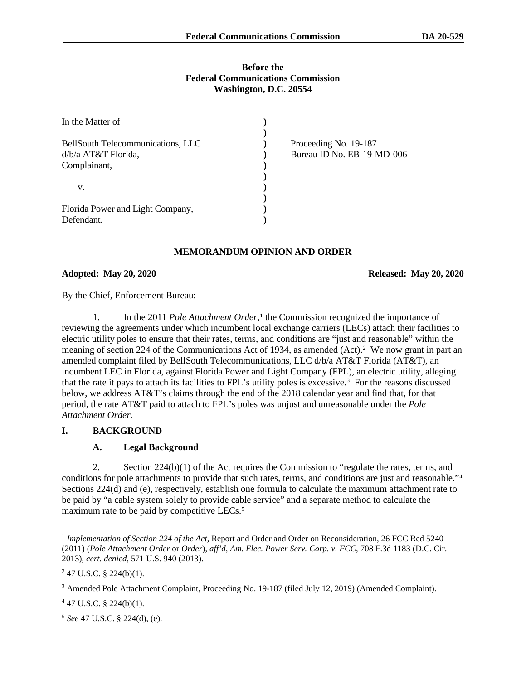### **Before the Federal Communications Commission Washington, D.C. 20554**

| In the Matter of                  |                            |
|-----------------------------------|----------------------------|
|                                   |                            |
| BellSouth Telecommunications, LLC | Proceeding No. 19-187      |
| d/b/a AT&T Florida,               | Bureau ID No. EB-19-MD-006 |
| Complainant,                      |                            |
|                                   |                            |
| v.                                |                            |
|                                   |                            |
| Florida Power and Light Company,  |                            |
| Defendant.                        |                            |

# **MEMORANDUM OPINION AND ORDER**

## **Adopted: May 20, 2020 Released: May 20, 2020**

By the Chief, Enforcement Bureau:

1. In the 2011 *Pole Attachment Order*,<sup>1</sup> the Commission recognized the importance of reviewing the agreements under which incumbent local exchange carriers (LECs) attach their facilities to electric utility poles to ensure that their rates, terms, and conditions are "just and reasonable" within the meaning of section 224 of the Communications Act of 1934, as amended (Act).<sup>2</sup> We now grant in part an amended complaint filed by BellSouth Telecommunications, LLC d/b/a AT&T Florida (AT&T), an incumbent LEC in Florida, against Florida Power and Light Company (FPL), an electric utility, alleging that the rate it pays to attach its facilities to FPL's utility poles is excessive.3 For the reasons discussed below, we address AT&T's claims through the end of the 2018 calendar year and find that, for that period, the rate AT&T paid to attach to FPL's poles was unjust and unreasonable under the *Pole Attachment Order*.

# **I. BACKGROUND**

# **A. Legal Background**

2. Section 224(b)(1) of the Act requires the Commission to "regulate the rates, terms, and conditions for pole attachments to provide that such rates, terms, and conditions are just and reasonable."4 Sections 224(d) and (e), respectively, establish one formula to calculate the maximum attachment rate to be paid by "a cable system solely to provide cable service" and a separate method to calculate the maximum rate to be paid by competitive LECs.<sup>5</sup>

 $447$  U.S.C. § 224(b)(1).

<sup>5</sup> *See* 47 U.S.C. § 224(d), (e).

<sup>&</sup>lt;sup>1</sup> Implementation of Section 224 of the Act, Report and Order and Order on Reconsideration, 26 FCC Rcd 5240 (2011) (*Pole Attachment Order* or *Order*), *aff'd, Am. Elec. Power Serv. Corp. v. FCC*, 708 F.3d 1183 (D.C. Cir. 2013), *cert. denied*, 571 U.S. 940 (2013).

 $247$  U.S.C. § 224(b)(1).

<sup>3</sup> Amended Pole Attachment Complaint, Proceeding No. 19-187 (filed July 12, 2019) (Amended Complaint).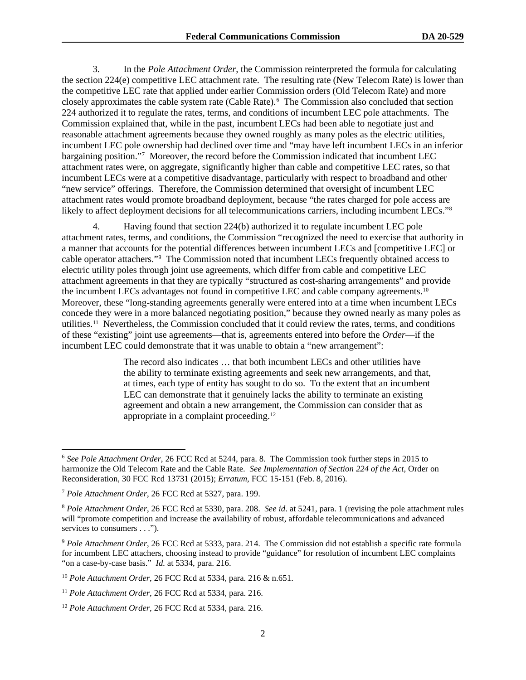3. In the *Pole Attachment Order*, the Commission reinterpreted the formula for calculating the section 224(e) competitive LEC attachment rate. The resulting rate (New Telecom Rate) is lower than the competitive LEC rate that applied under earlier Commission orders (Old Telecom Rate) and more closely approximates the cable system rate (Cable Rate).<sup>6</sup> The Commission also concluded that section 224 authorized it to regulate the rates, terms, and conditions of incumbent LEC pole attachments. The Commission explained that, while in the past, incumbent LECs had been able to negotiate just and reasonable attachment agreements because they owned roughly as many poles as the electric utilities, incumbent LEC pole ownership had declined over time and "may have left incumbent LECs in an inferior bargaining position."7 Moreover, the record before the Commission indicated that incumbent LEC attachment rates were, on aggregate, significantly higher than cable and competitive LEC rates, so that incumbent LECs were at a competitive disadvantage, particularly with respect to broadband and other "new service" offerings. Therefore, the Commission determined that oversight of incumbent LEC attachment rates would promote broadband deployment, because "the rates charged for pole access are likely to affect deployment decisions for all telecommunications carriers, including incumbent LECs."<sup>8</sup>

4. Having found that section 224(b) authorized it to regulate incumbent LEC pole attachment rates, terms, and conditions, the Commission "recognized the need to exercise that authority in a manner that accounts for the potential differences between incumbent LECs and [competitive LEC] or cable operator attachers."9 The Commission noted that incumbent LECs frequently obtained access to electric utility poles through joint use agreements, which differ from cable and competitive LEC attachment agreements in that they are typically "structured as cost-sharing arrangements" and provide the incumbent LECs advantages not found in competitive LEC and cable company agreements.<sup>10</sup> Moreover, these "long-standing agreements generally were entered into at a time when incumbent LECs concede they were in a more balanced negotiating position," because they owned nearly as many poles as utilities.<sup>11</sup> Nevertheless, the Commission concluded that it could review the rates, terms, and conditions of these "existing" joint use agreements—that is, agreements entered into before the *Order*—if the incumbent LEC could demonstrate that it was unable to obtain a "new arrangement":

> The record also indicates … that both incumbent LECs and other utilities have the ability to terminate existing agreements and seek new arrangements, and that, at times, each type of entity has sought to do so. To the extent that an incumbent LEC can demonstrate that it genuinely lacks the ability to terminate an existing agreement and obtain a new arrangement, the Commission can consider that as appropriate in a complaint proceeding.12

<sup>6</sup> *See Pole Attachment Order*, 26 FCC Rcd at 5244, para. 8. The Commission took further steps in 2015 to harmonize the Old Telecom Rate and the Cable Rate. *See Implementation of Section 224 of the Act*, Order on Reconsideration, 30 FCC Rcd 13731 (2015); *Erratum*, FCC 15-151 (Feb. 8, 2016).

<sup>7</sup> *Pole Attachment Order*, 26 FCC Rcd at 5327, para. 199.

<sup>8</sup> *Pole Attachment Order*, 26 FCC Rcd at 5330, para. 208. *See id*. at 5241, para. 1 (revising the pole attachment rules will "promote competition and increase the availability of robust, affordable telecommunications and advanced services to consumers . . .").

<sup>9</sup> *Pole Attachment Order*, 26 FCC Rcd at 5333, para. 214. The Commission did not establish a specific rate formula for incumbent LEC attachers, choosing instead to provide "guidance" for resolution of incumbent LEC complaints "on a case-by-case basis." *Id.* at 5334, para. 216.

<sup>10</sup> *Pole Attachment Order*, 26 FCC Rcd at 5334, para. 216 & n.651.

<sup>11</sup> *Pole Attachment Order*, 26 FCC Rcd at 5334, para. 216.

<sup>12</sup> *Pole Attachment Order*, 26 FCC Rcd at 5334, para. 216.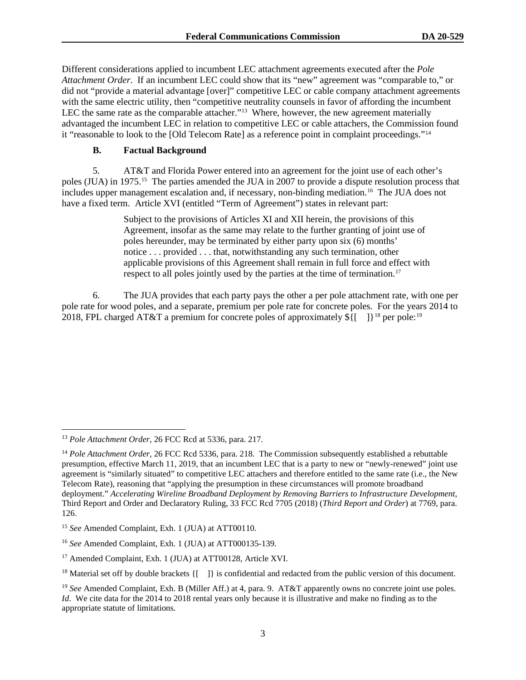Different considerations applied to incumbent LEC attachment agreements executed after the *Pole Attachment Order*. If an incumbent LEC could show that its "new" agreement was "comparable to," or did not "provide a material advantage [over]" competitive LEC or cable company attachment agreements with the same electric utility, then "competitive neutrality counsels in favor of affording the incumbent LEC the same rate as the comparable attacher."<sup>13</sup> Where, however, the new agreement materially advantaged the incumbent LEC in relation to competitive LEC or cable attachers, the Commission found it "reasonable to look to the [Old Telecom Rate] as a reference point in complaint proceedings."14

## **B. Factual Background**

5. AT&T and Florida Power entered into an agreement for the joint use of each other's poles (JUA) in 1975.15 The parties amended the JUA in 2007 to provide a dispute resolution process that includes upper management escalation and, if necessary, non-binding mediation.<sup>16</sup> The JUA does not have a fixed term. Article XVI (entitled "Term of Agreement") states in relevant part:

> Subject to the provisions of Articles XI and XII herein, the provisions of this Agreement, insofar as the same may relate to the further granting of joint use of poles hereunder, may be terminated by either party upon six (6) months' notice . . . provided . . . that, notwithstanding any such termination, other applicable provisions of this Agreement shall remain in full force and effect with respect to all poles jointly used by the parties at the time of termination.<sup>17</sup>

6. The JUA provides that each party pays the other a per pole attachment rate, with one per pole rate for wood poles, and a separate, premium per pole rate for concrete poles. For the years 2014 to 2018, FPL charged AT&T a premium for concrete poles of approximately  $\hat{\mathbf{S}}$ [[ ] ]<sup>18</sup> per pole:<sup>19</sup>

<sup>13</sup> *Pole Attachment Order*, 26 FCC Rcd at 5336, para. 217.

<sup>&</sup>lt;sup>14</sup> Pole Attachment Order, 26 FCC Rcd 5336, para. 218. The Commission subsequently established a rebuttable presumption, effective March 11, 2019, that an incumbent LEC that is a party to new or "newly-renewed" joint use agreement is "similarly situated" to competitive LEC attachers and therefore entitled to the same rate (i.e., the New Telecom Rate), reasoning that "applying the presumption in these circumstances will promote broadband deployment." *Accelerating Wireline Broadband Deployment by Removing Barriers to Infrastructure Development*, Third Report and Order and Declaratory Ruling, 33 FCC Rcd 7705 (2018) (*Third Report and Order*) at 7769, para. 126.

<sup>15</sup> *See* Amended Complaint, Exh. 1 (JUA) at ATT00110.

<sup>16</sup> *See* Amended Complaint, Exh. 1 (JUA) at ATT000135-139.

<sup>&</sup>lt;sup>17</sup> Amended Complaint, Exh. 1 (JUA) at ATT00128, Article XVI.

<sup>&</sup>lt;sup>18</sup> Material set off by double brackets  $\{[-] \}$  is confidential and redacted from the public version of this document.

<sup>&</sup>lt;sup>19</sup> *See* Amended Complaint, Exh. B (Miller Aff.) at 4, para. 9. AT&T apparently owns no concrete joint use poles. *Id*. We cite data for the 2014 to 2018 rental years only because it is illustrative and make no finding as to the appropriate statute of limitations.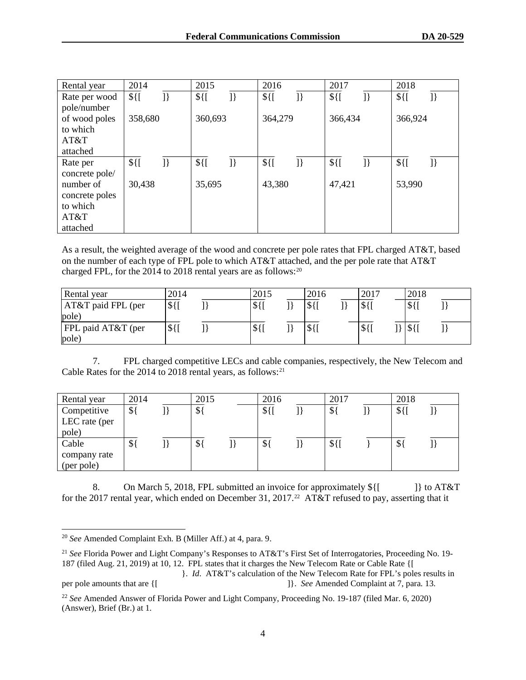| Rental year    | 2014    |    | 2015    |    | 2016    |                 | 2017    |                 | 2018    |                 |
|----------------|---------|----|---------|----|---------|-----------------|---------|-----------------|---------|-----------------|
| Rate per wood  | $$$ {[  | }} | $$$ {[  | }} | $$$ {[  | $\mathcal{I}\}$ | $$$ {[  | $\mathcal{I}\}$ | $$$ {[  | $\mathcal{I}\}$ |
| pole/number    |         |    |         |    |         |                 |         |                 |         |                 |
| of wood poles  | 358,680 |    | 360,693 |    | 364,279 |                 | 366,434 |                 | 366,924 |                 |
| to which       |         |    |         |    |         |                 |         |                 |         |                 |
| AT&T           |         |    |         |    |         |                 |         |                 |         |                 |
| attached       |         |    |         |    |         |                 |         |                 |         |                 |
| Rate per       | $$$ {[  | }} | $$$ {[  | }} | $$$ {[  | $\exists$       | $$$ {[  | ]               | $$$ {[  | $\mathcal{I}\}$ |
| concrete pole/ |         |    |         |    |         |                 |         |                 |         |                 |
| number of      | 30,438  |    | 35,695  |    | 43,380  |                 | 47,421  |                 | 53,990  |                 |
| concrete poles |         |    |         |    |         |                 |         |                 |         |                 |
| to which       |         |    |         |    |         |                 |         |                 |         |                 |
| AT&T           |         |    |         |    |         |                 |         |                 |         |                 |
| attached       |         |    |         |    |         |                 |         |                 |         |                 |

As a result, the weighted average of the wood and concrete per pole rates that FPL charged AT&T, based on the number of each type of FPL pole to which AT&T attached, and the per pole rate that AT&T charged FPL, for the 2014 to 2018 rental years are as follows:<sup>20</sup>

| Rental year                 | 2014      | 2015      | 2016  | 2017   | 2018                         |  |
|-----------------------------|-----------|-----------|-------|--------|------------------------------|--|
| AT&T paid FPL (per<br>pole) | $$$ { $[$ | $$$ {[    | 151'  | $$$ {[ | $\frac{1}{2}$                |  |
| FPL paid AT&T (per<br>pole) | $$$ {     | $$$ { $[$ | $$$ { | $$$ {  | $\mathcal{S}\left\{ \right.$ |  |

7. FPL charged competitive LECs and cable companies, respectively, the New Telecom and Cable Rates for the 2014 to 2018 rental years, as follows:<sup>21</sup>

| Rental year   | 2014 | 2015          | 2016  | 2017            | 2018          |  |
|---------------|------|---------------|-------|-----------------|---------------|--|
| Competitive   | \${  | $\mathcal{S}$ | $$$ { | $\mathcal{S}$   | $$$ { $[$     |  |
| LEC rate (per |      |               |       |                 |               |  |
| pole)         |      |               |       |                 |               |  |
| Cable         | ۱Φ   | $\mathcal{S}$ | \$    | $\Phi f$<br>⊅լւ | $\mathcal{S}$ |  |
| company rate  |      |               |       |                 |               |  |
| (per pole)    |      |               |       |                 |               |  |

8. On March 5, 2018, FPL submitted an invoice for approximately  $\{\$ [ [] to AT&T for the 2017 rental year, which ended on December 31, 2017.<sup>22</sup> AT&T refused to pay, asserting that it

<sup>20</sup> *See* Amended Complaint Exh. B (Miller Aff.) at 4, para. 9.

<sup>&</sup>lt;sup>21</sup> See Florida Power and Light Company's Responses to AT&T's First Set of Interrogatories, Proceeding No. 19-187 (filed Aug. 21, 2019) at 10, 12. FPL states that it charges the New Telecom Rate or Cable Rate {[

<sup>}.</sup> *Id*. AT&T's calculation of the New Telecom Rate for FPL's poles results in per pole amounts that are {[ ]}. *See* Amended Complaint at 7, para. 13.

<sup>22</sup> *See* Amended Answer of Florida Power and Light Company, Proceeding No. 19-187 (filed Mar. 6, 2020) (Answer), Brief (Br.) at 1.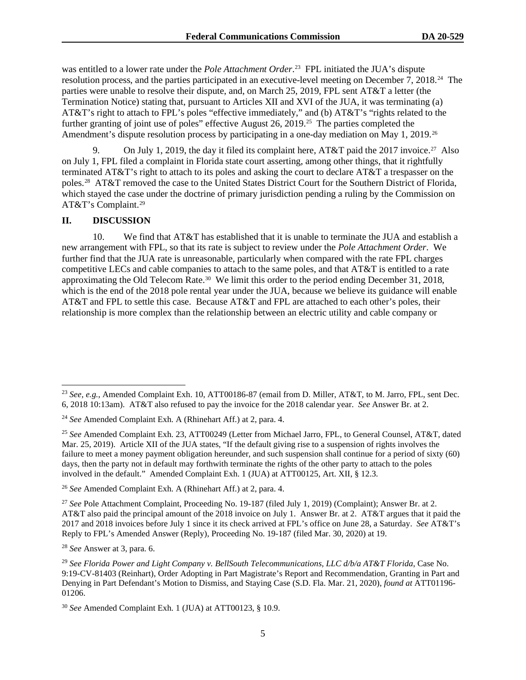was entitled to a lower rate under the *Pole Attachment Order*. 23 FPL initiated the JUA's dispute resolution process, and the parties participated in an executive-level meeting on December 7, 2018.24 The parties were unable to resolve their dispute, and, on March 25, 2019, FPL sent AT&T a letter (the Termination Notice) stating that, pursuant to Articles XII and XVI of the JUA, it was terminating (a) AT&T's right to attach to FPL's poles "effective immediately," and (b) AT&T's "rights related to the further granting of joint use of poles" effective August 26, 2019.25 The parties completed the Amendment's dispute resolution process by participating in a one-day mediation on May 1, 2019.<sup>26</sup>

9. On July 1, 2019, the day it filed its complaint here, AT&T paid the 2017 invoice.<sup>27</sup> Also on July 1, FPL filed a complaint in Florida state court asserting, among other things, that it rightfully terminated AT&T's right to attach to its poles and asking the court to declare AT&T a trespasser on the poles.28 AT&T removed the case to the United States District Court for the Southern District of Florida, which stayed the case under the doctrine of primary jurisdiction pending a ruling by the Commission on AT&T's Complaint.29

#### **II. DISCUSSION**

10. We find that AT&T has established that it is unable to terminate the JUA and establish a new arrangement with FPL, so that its rate is subject to review under the *Pole Attachment Order*. We further find that the JUA rate is unreasonable, particularly when compared with the rate FPL charges competitive LECs and cable companies to attach to the same poles, and that AT&T is entitled to a rate approximating the Old Telecom Rate.<sup>30</sup> We limit this order to the period ending December 31, 2018, which is the end of the 2018 pole rental year under the JUA, because we believe its guidance will enable AT&T and FPL to settle this case. Because AT&T and FPL are attached to each other's poles, their relationship is more complex than the relationship between an electric utility and cable company or

<sup>28</sup> *See* Answer at 3, para. 6.

<sup>23</sup> *See, e.g.*, Amended Complaint Exh. 10, ATT00186-87 (email from D. Miller, AT&T, to M. Jarro, FPL, sent Dec. 6, 2018 10:13am). AT&T also refused to pay the invoice for the 2018 calendar year. *See* Answer Br. at 2.

<sup>24</sup> *See* Amended Complaint Exh. A (Rhinehart Aff.) at 2, para. 4.

<sup>25</sup> *See* Amended Complaint Exh. 23, ATT00249 (Letter from Michael Jarro, FPL, to General Counsel, AT&T, dated Mar. 25, 2019). Article XII of the JUA states, "If the default giving rise to a suspension of rights involves the failure to meet a money payment obligation hereunder, and such suspension shall continue for a period of sixty (60) days, then the party not in default may forthwith terminate the rights of the other party to attach to the poles involved in the default." Amended Complaint Exh. 1 (JUA) at ATT00125, Art. XII, § 12.3.

<sup>26</sup> *See* Amended Complaint Exh. A (Rhinehart Aff.) at 2, para. 4.

<sup>27</sup> *See* Pole Attachment Complaint, Proceeding No. 19-187 (filed July 1, 2019) (Complaint); Answer Br. at 2. AT&T also paid the principal amount of the 2018 invoice on July 1. Answer Br. at 2. AT&T argues that it paid the 2017 and 2018 invoices before July 1 since it its check arrived at FPL's office on June 28, a Saturday. *See* AT&T's Reply to FPL's Amended Answer (Reply), Proceeding No. 19-187 (filed Mar. 30, 2020) at 19.

<sup>29</sup> *See Florida Power and Light Company v. BellSouth Telecommunications, LLC d/b/a AT&T Florida*, Case No. 9:19-CV-81403 (Reinhart), Order Adopting in Part Magistrate's Report and Recommendation, Granting in Part and Denying in Part Defendant's Motion to Dismiss, and Staying Case (S.D. Fla. Mar. 21, 2020), *found at* ATT01196- 01206.

<sup>30</sup> *See* Amended Complaint Exh. 1 (JUA) at ATT00123, § 10.9.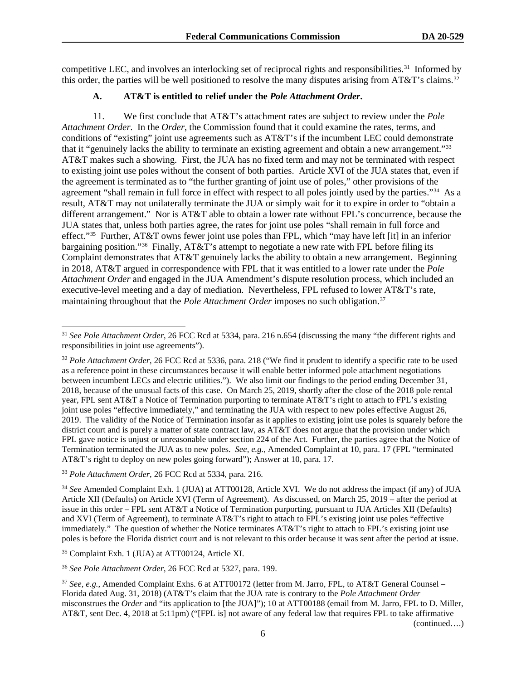competitive LEC, and involves an interlocking set of reciprocal rights and responsibilities.<sup>31</sup> Informed by this order, the parties will be well positioned to resolve the many disputes arising from  $AT&T$ 's claims.<sup>32</sup>

## **A. AT&T is entitled to relief under the** *Pole Attachment Order***.**

11. We first conclude that AT&T's attachment rates are subject to review under the *Pole Attachment Order*. In the *Order*, the Commission found that it could examine the rates, terms, and conditions of "existing" joint use agreements such as AT&T's if the incumbent LEC could demonstrate that it "genuinely lacks the ability to terminate an existing agreement and obtain a new arrangement."33 AT&T makes such a showing. First, the JUA has no fixed term and may not be terminated with respect to existing joint use poles without the consent of both parties. Article XVI of the JUA states that, even if the agreement is terminated as to "the further granting of joint use of poles," other provisions of the agreement "shall remain in full force in effect with respect to all poles jointly used by the parties."34 As a result, AT&T may not unilaterally terminate the JUA or simply wait for it to expire in order to "obtain a different arrangement." Nor is AT&T able to obtain a lower rate without FPL's concurrence, because the JUA states that, unless both parties agree, the rates for joint use poles "shall remain in full force and effect."35 Further, AT&T owns fewer joint use poles than FPL, which "may have left [it] in an inferior bargaining position."<sup>36</sup> Finally, AT&T's attempt to negotiate a new rate with FPL before filing its Complaint demonstrates that AT&T genuinely lacks the ability to obtain a new arrangement. Beginning in 2018, AT&T argued in correspondence with FPL that it was entitled to a lower rate under the *Pole Attachment Order* and engaged in the JUA Amendment's dispute resolution process, which included an executive-level meeting and a day of mediation. Nevertheless, FPL refused to lower AT&T's rate, maintaining throughout that the *Pole Attachment Order* imposes no such obligation.37

<sup>35</sup> Complaint Exh. 1 (JUA) at ATT00124, Article XI.

<sup>36</sup> *See Pole Attachment Order*, 26 FCC Rcd at 5327, para. 199.

(continued….)

<sup>31</sup> *See Pole Attachment Order*, 26 FCC Rcd at 5334, para. 216 n.654 (discussing the many "the different rights and responsibilities in joint use agreements").

<sup>32</sup> *Pole Attachment Order*, 26 FCC Rcd at 5336, para. 218 ("We find it prudent to identify a specific rate to be used as a reference point in these circumstances because it will enable better informed pole attachment negotiations between incumbent LECs and electric utilities."). We also limit our findings to the period ending December 31, 2018, because of the unusual facts of this case. On March 25, 2019, shortly after the close of the 2018 pole rental year, FPL sent AT&T a Notice of Termination purporting to terminate AT&T's right to attach to FPL's existing joint use poles "effective immediately," and terminating the JUA with respect to new poles effective August 26, 2019. The validity of the Notice of Termination insofar as it applies to existing joint use poles is squarely before the district court and is purely a matter of state contract law, as AT&T does not argue that the provision under which FPL gave notice is unjust or unreasonable under section 224 of the Act. Further, the parties agree that the Notice of Termination terminated the JUA as to new poles. *See, e.g.*, Amended Complaint at 10, para. 17 (FPL "terminated AT&T's right to deploy on new poles going forward"); Answer at 10, para. 17.

<sup>33</sup> *Pole Attachment Order*, 26 FCC Rcd at 5334, para. 216.

<sup>34</sup> *See* Amended Complaint Exh. 1 (JUA) at ATT00128, Article XVI. We do not address the impact (if any) of JUA Article XII (Defaults) on Article XVI (Term of Agreement). As discussed, on March 25, 2019 – after the period at issue in this order – FPL sent AT&T a Notice of Termination purporting, pursuant to JUA Articles XII (Defaults) and XVI (Term of Agreement), to terminate AT&T's right to attach to FPL's existing joint use poles "effective immediately." The question of whether the Notice terminates AT&T's right to attach to FPL's existing joint use poles is before the Florida district court and is not relevant to this order because it was sent after the period at issue.

<sup>&</sup>lt;sup>37</sup> See, e.g., Amended Complaint Exhs. 6 at ATT00172 (letter from M. Jarro, FPL, to AT&T General Counsel – Florida dated Aug. 31, 2018) (AT&T's claim that the JUA rate is contrary to the *Pole Attachment Order* misconstrues the *Order* and "its application to [the JUA]"); 10 at ATT00188 (email from M. Jarro, FPL to D. Miller, AT&T, sent Dec. 4, 2018 at 5:11pm) ("[FPL is] not aware of any federal law that requires FPL to take affirmative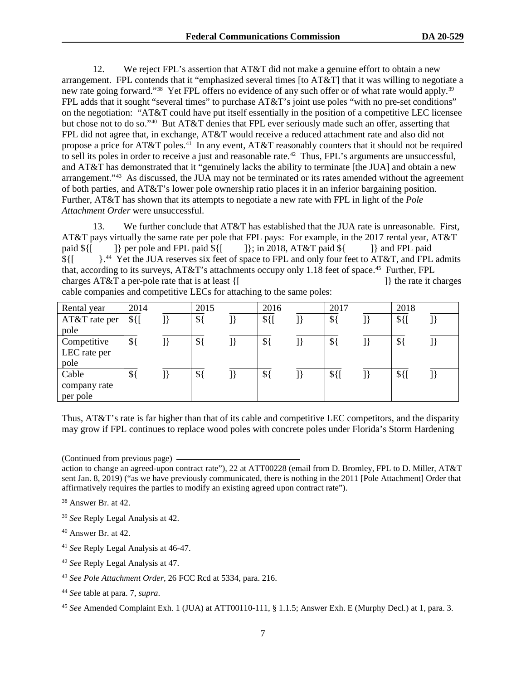12. We reject FPL's assertion that AT&T did not make a genuine effort to obtain a new arrangement. FPL contends that it "emphasized several times [to AT&T] that it was willing to negotiate a new rate going forward."<sup>38</sup> Yet FPL offers no evidence of any such offer or of what rate would apply.<sup>39</sup> FPL adds that it sought "several times" to purchase AT&T's joint use poles "with no pre-set conditions" on the negotiation: "AT&T could have put itself essentially in the position of a competitive LEC licensee but chose not to do so."40 But AT&T denies that FPL ever seriously made such an offer, asserting that FPL did not agree that, in exchange, AT&T would receive a reduced attachment rate and also did not propose a price for AT&T poles.<sup>41</sup> In any event, AT&T reasonably counters that it should not be required to sell its poles in order to receive a just and reasonable rate.<sup>42</sup> Thus, FPL's arguments are unsuccessful, and AT&T has demonstrated that it "genuinely lacks the ability to terminate [the JUA] and obtain a new arrangement."43 As discussed, the JUA may not be terminated or its rates amended without the agreement of both parties, and AT&T's lower pole ownership ratio places it in an inferior bargaining position. Further, AT&T has shown that its attempts to negotiate a new rate with FPL in light of the *Pole Attachment Order* were unsuccessful.

13. We further conclude that AT&T has established that the JUA rate is unreasonable. First, AT&T pays virtually the same rate per pole that FPL pays: For example, in the 2017 rental year, AT&T paid  $\{ [ \ \ ] \}$  per pole and FPL paid  $\{ [ \ \ ] \}$ ; in 2018, AT&T paid  $\{ [ \ \ ] \}$  and FPL paid \${[ }.<sup>44</sup> Yet the JUA reserves six feet of space to FPL and only four feet to AT&T, and FPL admits that, according to its surveys, AT&T's attachments occupy only 1.18 feet of space.45 Further, FPL charges AT&T a per-pole rate that is at least {[ ]} the rate it charges cable companies and competitive LECs for attaching to the same poles:

| Rental year   | 2014          | 2015           | 2016   | 2017          | 2018      |  |
|---------------|---------------|----------------|--------|---------------|-----------|--|
| AT&T rate per | $$$ {[        | $\frac{1}{2}$  | $$$ {[ | $\frac{1}{2}$ | $$$ { $[$ |  |
| pole          |               |                |        |               |           |  |
| Competitive   | $\frac{1}{2}$ | $\frac{1}{2}$  | $\$\}$ | $\frac{1}{2}$ | $\$\$     |  |
| LEC rate per  |               |                |        |               |           |  |
| pole          |               |                |        |               |           |  |
| Cable         | $\$\}$        | $\mathcal{S}\$ | $\$\$  | $$$ {         | $$$ {[    |  |
| company rate  |               |                |        |               |           |  |
| per pole      |               |                |        |               |           |  |

Thus, AT&T's rate is far higher than that of its cable and competitive LEC competitors, and the disparity may grow if FPL continues to replace wood poles with concrete poles under Florida's Storm Hardening

(Continued from previous page)

- <sup>39</sup> *See* Reply Legal Analysis at 42.
- $40$  Answer Br. at 42.
- <sup>41</sup> *See* Reply Legal Analysis at 46-47.
- <sup>42</sup> *See* Reply Legal Analysis at 47.
- <sup>43</sup> *See Pole Attachment Order*, 26 FCC Rcd at 5334, para. 216.
- <sup>44</sup> *See* table at para. 7, *supra*.

action to change an agreed-upon contract rate"), 22 at ATT00228 (email from D. Bromley, FPL to D. Miller, AT&T sent Jan. 8, 2019) ("as we have previously communicated, there is nothing in the 2011 [Pole Attachment] Order that affirmatively requires the parties to modify an existing agreed upon contract rate").

<sup>38</sup> Answer Br. at 42.

<sup>45</sup> *See* Amended Complaint Exh. 1 (JUA) at ATT00110-111, § 1.1.5; Answer Exh. E (Murphy Decl.) at 1, para. 3.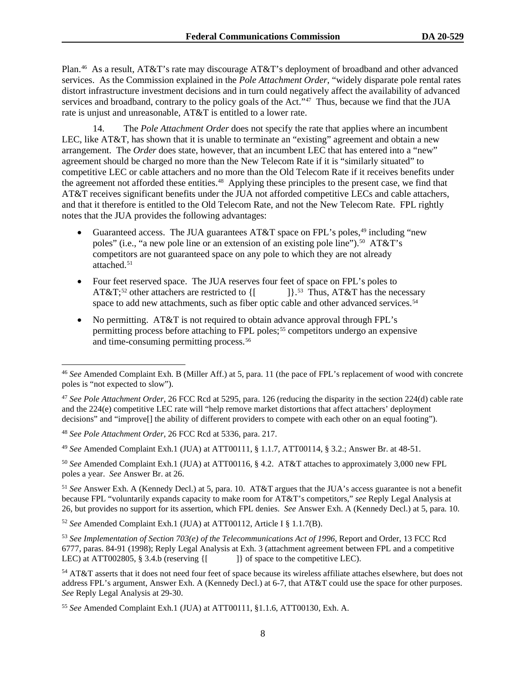Plan.46 As a result, AT&T's rate may discourage AT&T's deployment of broadband and other advanced services. As the Commission explained in the *Pole Attachment Order*, "widely disparate pole rental rates distort infrastructure investment decisions and in turn could negatively affect the availability of advanced services and broadband, contrary to the policy goals of the Act."<sup>47</sup> Thus, because we find that the JUA rate is unjust and unreasonable, AT&T is entitled to a lower rate.

14. The *Pole Attachment Order* does not specify the rate that applies where an incumbent LEC, like AT&T, has shown that it is unable to terminate an "existing" agreement and obtain a new arrangement. The *Order* does state, however, that an incumbent LEC that has entered into a "new" agreement should be charged no more than the New Telecom Rate if it is "similarly situated" to competitive LEC or cable attachers and no more than the Old Telecom Rate if it receives benefits under the agreement not afforded these entities.<sup>48</sup> Applying these principles to the present case, we find that AT&T receives significant benefits under the JUA not afforded competitive LECs and cable attachers, and that it therefore is entitled to the Old Telecom Rate, and not the New Telecom Rate. FPL rightly notes that the JUA provides the following advantages:

- Guaranteed access. The JUA guarantees AT&T space on FPL's poles,<sup>49</sup> including "new poles" (i.e., "a new pole line or an extension of an existing pole line").<sup>50</sup> AT&T's competitors are not guaranteed space on any pole to which they are not already attached.<sup>51</sup>
- Four feet reserved space. The JUA reserves four feet of space on FPL's poles to AT&T;<sup>52</sup> other attachers are restricted to  $\{$ [  $]$ ] $\}$ <sup>53</sup> Thus, AT&T has the necessary space to add new attachments, such as fiber optic cable and other advanced services.<sup>54</sup>
- No permitting. AT&T is not required to obtain advance approval through FPL's permitting process before attaching to FPL poles;<sup>55</sup> competitors undergo an expensive and time-consuming permitting process.<sup>56</sup>

<sup>50</sup> *See* Amended Complaint Exh.1 (JUA) at ATT00116, § 4.2. AT&T attaches to approximately 3,000 new FPL poles a year. *See* Answer Br. at 26.

<sup>51</sup> *See* Answer Exh. A (Kennedy Decl.) at 5, para. 10. AT&T argues that the JUA's access guarantee is not a benefit because FPL "voluntarily expands capacity to make room for AT&T's competitors," *see* Reply Legal Analysis at 26, but provides no support for its assertion, which FPL denies. *See* Answer Exh. A (Kennedy Decl.) at 5, para. 10.

<sup>52</sup> *See* Amended Complaint Exh.1 (JUA) at ATT00112, Article I § 1.1.7(B).

<sup>53</sup> *See Implementation of Section 703(e) of the Telecommunications Act of 1996*, Report and Order, 13 FCC Rcd 6777, paras. 84-91 (1998); Reply Legal Analysis at Exh. 3 (attachment agreement between FPL and a competitive LEC) at ATT002805, § 3.4.b (reserving {[ ]} of space to the competitive LEC).

<sup>54</sup> AT&T asserts that it does not need four feet of space because its wireless affiliate attaches elsewhere, but does not address FPL's argument, Answer Exh. A (Kennedy Decl.) at 6-7, that AT&T could use the space for other purposes. *See* Reply Legal Analysis at 29-30.

<sup>46</sup> *See* Amended Complaint Exh. B (Miller Aff.) at 5, para. 11 (the pace of FPL's replacement of wood with concrete poles is "not expected to slow").

<sup>47</sup> *See Pole Attachment Order*, 26 FCC Rcd at 5295, para. 126 (reducing the disparity in the section 224(d) cable rate and the 224(e) competitive LEC rate will "help remove market distortions that affect attachers' deployment decisions" and "improve[] the ability of different providers to compete with each other on an equal footing").

<sup>48</sup> *See Pole Attachment Order*, 26 FCC Rcd at 5336, para. 217.

<sup>49</sup> *See* Amended Complaint Exh.1 (JUA) at ATT00111, § 1.1.7, ATT00114, § 3.2.; Answer Br. at 48-51.

<sup>55</sup> *See* Amended Complaint Exh.1 (JUA) at ATT00111, §1.1.6, ATT00130, Exh. A.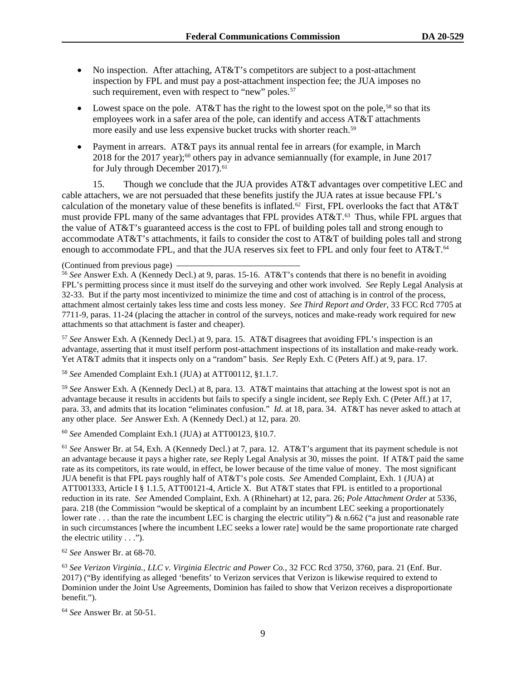- No inspection. After attaching, AT&T's competitors are subject to a post-attachment inspection by FPL and must pay a post-attachment inspection fee; the JUA imposes no such requirement, even with respect to "new" poles.<sup>57</sup>
- Lowest space on the pole. AT&T has the right to the lowest spot on the pole,<sup>58</sup> so that its employees work in a safer area of the pole, can identify and access AT&T attachments more easily and use less expensive bucket trucks with shorter reach.<sup>59</sup>
- Payment in arrears. AT&T pays its annual rental fee in arrears (for example, in March  $2018$  for the 2017 year);<sup>60</sup> others pay in advance semiannually (for example, in June 2017 for July through December 2017).<sup>61</sup>

15. Though we conclude that the JUA provides AT&T advantages over competitive LEC and cable attachers, we are not persuaded that these benefits justify the JUA rates at issue because FPL's calculation of the monetary value of these benefits is inflated.<sup>62</sup> First, FPL overlooks the fact that AT&T must provide FPL many of the same advantages that FPL provides AT&T.<sup>63</sup> Thus, while FPL argues that the value of AT&T's guaranteed access is the cost to FPL of building poles tall and strong enough to accommodate AT&T's attachments, it fails to consider the cost to AT&T of building poles tall and strong enough to accommodate FPL, and that the JUA reserves six feet to FPL and only four feet to AT&T.<sup>64</sup>

<sup>56</sup> *See* Answer Exh. A (Kennedy Decl.) at 9, paras. 15-16. AT&T's contends that there is no benefit in avoiding FPL's permitting process since it must itself do the surveying and other work involved. *See* Reply Legal Analysis at 32-33. But if the party most incentivized to minimize the time and cost of attaching is in control of the process, attachment almost certainly takes less time and costs less money. *See Third Report and Order*, 33 FCC Rcd 7705 at 7711-9, paras. 11-24 (placing the attacher in control of the surveys, notices and make-ready work required for new attachments so that attachment is faster and cheaper).

<sup>57</sup> *See* Answer Exh. A (Kennedy Decl.) at 9, para. 15. AT&T disagrees that avoiding FPL's inspection is an advantage, asserting that it must itself perform post-attachment inspections of its installation and make-ready work. Yet AT&T admits that it inspects only on a "random" basis. *See* Reply Exh. C (Peters Aff.) at 9, para. 17.

<sup>58</sup> *See* Amended Complaint Exh.1 (JUA) at ATT00112, §1.1.7.

<sup>59</sup> *See* Answer Exh. A (Kennedy Decl.) at 8, para. 13. AT&T maintains that attaching at the lowest spot is not an advantage because it results in accidents but fails to specify a single incident, s*ee* Reply Exh. C (Peter Aff.) at 17, para. 33, and admits that its location "eliminates confusion." *Id.* at 18, para. 34. AT&T has never asked to attach at any other place. *See* Answer Exh. A (Kennedy Decl.) at 12, para. 20.

<sup>60</sup> *See* Amended Complaint Exh.1 (JUA) at ATT00123, §10.7.

<sup>61</sup> *See* Answer Br. at 54, Exh. A (Kennedy Decl.) at 7, para. 12. AT&T's argument that its payment schedule is not an advantage because it pays a higher rate, s*ee* Reply Legal Analysis at 30, misses the point. If AT&T paid the same rate as its competitors, its rate would, in effect, be lower because of the time value of money. The most significant JUA benefit is that FPL pays roughly half of AT&T's pole costs. *See* Amended Complaint, Exh. 1 (JUA) at ATT001333, Article I § 1.1.5, ATT00121-4, Article X. But AT&T states that FPL is entitled to a proportional reduction in its rate. *See* Amended Complaint, Exh. A (Rhinehart) at 12, para. 26; *Pole Attachment Order* at 5336, para. 218 (the Commission "would be skeptical of a complaint by an incumbent LEC seeking a proportionately lower rate ... than the rate the incumbent LEC is charging the electric utility")  $\&$  n.662 ("a just and reasonable rate in such circumstances [where the incumbent LEC seeks a lower rate] would be the same proportionate rate charged the electric utility . . .").

<sup>62</sup> *See* Answer Br. at 68-70.

<sup>63</sup> *See Verizon Virginia., LLC v. Virginia Electric and Power Co.*, 32 FCC Rcd 3750, 3760, para. 21 (Enf. Bur. 2017) ("By identifying as alleged 'benefits' to Verizon services that Verizon is likewise required to extend to Dominion under the Joint Use Agreements, Dominion has failed to show that Verizon receives a disproportionate benefit.").

<sup>64</sup> *See* Answer Br. at 50-51.

<sup>(</sup>Continued from previous page)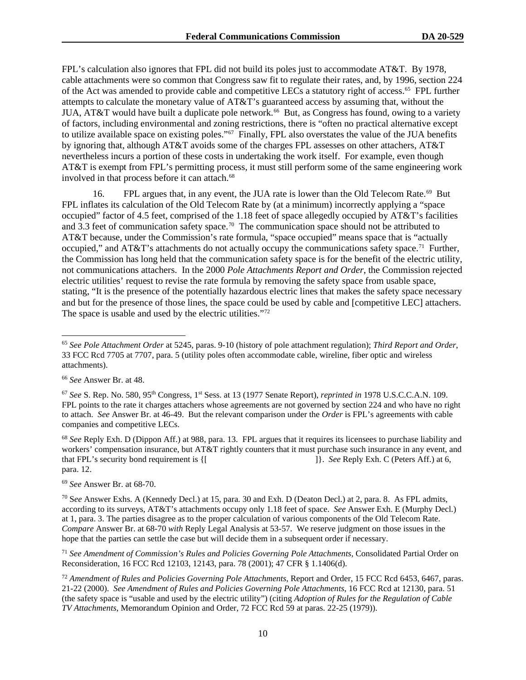FPL's calculation also ignores that FPL did not build its poles just to accommodate AT&T. By 1978, cable attachments were so common that Congress saw fit to regulate their rates, and, by 1996, section 224 of the Act was amended to provide cable and competitive LECs a statutory right of access.65 FPL further attempts to calculate the monetary value of AT&T's guaranteed access by assuming that, without the JUA, AT&T would have built a duplicate pole network.<sup>66</sup> But, as Congress has found, owing to a variety of factors, including environmental and zoning restrictions, there is "often no practical alternative except to utilize available space on existing poles."67 Finally, FPL also overstates the value of the JUA benefits by ignoring that, although AT&T avoids some of the charges FPL assesses on other attachers, AT&T nevertheless incurs a portion of these costs in undertaking the work itself. For example, even though AT&T is exempt from FPL's permitting process, it must still perform some of the same engineering work involved in that process before it can attach.<sup>68</sup>

16. FPL argues that, in any event, the JUA rate is lower than the Old Telecom Rate.<sup>69</sup> But FPL inflates its calculation of the Old Telecom Rate by (at a minimum) incorrectly applying a "space occupied" factor of 4.5 feet, comprised of the 1.18 feet of space allegedly occupied by AT&T's facilities and 3.3 feet of communication safety space.<sup>70</sup> The communication space should not be attributed to AT&T because, under the Commission's rate formula, "space occupied" means space that is "actually occupied," and AT&T's attachments do not actually occupy the communications safety space.<sup>71</sup> Further, the Commission has long held that the communication safety space is for the benefit of the electric utility, not communications attachers. In the 2000 *Pole Attachments Report and Order*, the Commission rejected electric utilities' request to revise the rate formula by removing the safety space from usable space, stating, "It is the presence of the potentially hazardous electric lines that makes the safety space necessary and but for the presence of those lines, the space could be used by cable and [competitive LEC] attachers. The space is usable and used by the electric utilities."<sup>72</sup>

<sup>68</sup> *See* Reply Exh. D (Dippon Aff.) at 988, para. 13. FPL argues that it requires its licensees to purchase liability and workers' compensation insurance, but AT&T rightly counters that it must purchase such insurance in any event, and that FPL's security bond requirement is {[  $\qquad$  ]}. *See* Reply Exh. C (Peters Aff.) at 6, para. 12.

<sup>69</sup> *See* Answer Br. at 68-70.

<sup>65</sup> *See Pole Attachment Order* at 5245, paras. 9-10 (history of pole attachment regulation); *Third Report and Order*, 33 FCC Rcd 7705 at 7707, para. 5 (utility poles often accommodate cable, wireline, fiber optic and wireless attachments).

<sup>66</sup> *See* Answer Br. at 48.

<sup>67</sup> *See* S. Rep. No. 580, 95th Congress, 1st Sess. at 13 (1977 Senate Report), *reprinted in* 1978 U.S.C.C.A.N. 109. FPL points to the rate it charges attachers whose agreements are not governed by section 224 and who have no right to attach. *See* Answer Br. at 46-49. But the relevant comparison under the *Order* is FPL's agreements with cable companies and competitive LECs.

<sup>70</sup> S*ee* Answer Exhs. A (Kennedy Decl.) at 15, para. 30 and Exh. D (Deaton Decl.) at 2, para. 8. As FPL admits, according to its surveys, AT&T's attachments occupy only 1.18 feet of space. *See* Answer Exh. E (Murphy Decl.) at 1, para. 3. The parties disagree as to the proper calculation of various components of the Old Telecom Rate. *Compare* Answer Br. at 68-70 *with* Reply Legal Analysis at 53-57. We reserve judgment on those issues in the hope that the parties can settle the case but will decide them in a subsequent order if necessary.

<sup>71</sup> *See Amendment of Commission's Rules and Policies Governing Pole Attachments*, Consolidated Partial Order on Reconsideration, 16 FCC Rcd 12103, 12143, para. 78 (2001); 47 CFR § 1.1406(d).

<sup>72</sup> *Amendment of Rules and Policies Governing Pole Attachments*, Report and Order, 15 FCC Rcd 6453, 6467, paras. 21-22 (2000). *See Amendment of Rules and Policies Governing Pole Attachments*, 16 FCC Rcd at 12130, para. 51 (the safety space is "usable and used by the electric utility") (citing *Adoption of Rules for the Regulation of Cable TV Attachments*, Memorandum Opinion and Order, 72 FCC Rcd 59 at paras. 22-25 (1979)).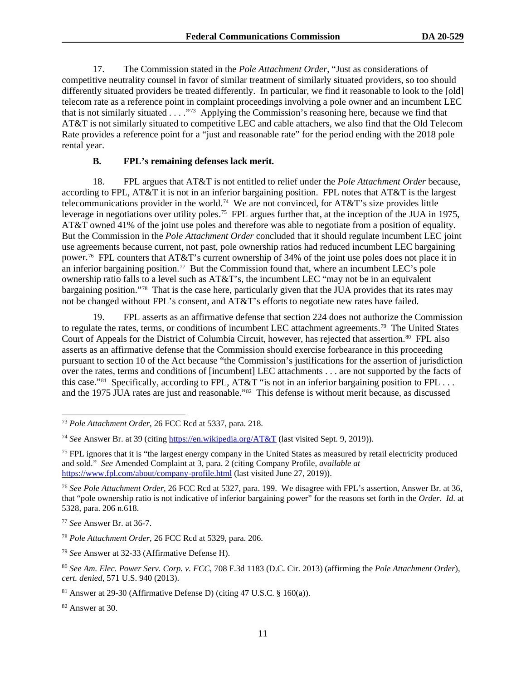17. The Commission stated in the *Pole Attachment Order*, "Just as considerations of competitive neutrality counsel in favor of similar treatment of similarly situated providers, so too should differently situated providers be treated differently. In particular, we find it reasonable to look to the [old] telecom rate as a reference point in complaint proceedings involving a pole owner and an incumbent LEC that is not similarly situated . . . ."73 Applying the Commission's reasoning here, because we find that AT&T is not similarly situated to competitive LEC and cable attachers, we also find that the Old Telecom Rate provides a reference point for a "just and reasonable rate" for the period ending with the 2018 pole rental year.

## **B. FPL's remaining defenses lack merit.**

18. FPL argues that AT&T is not entitled to relief under the *Pole Attachment Order* because, according to FPL, AT&T it is not in an inferior bargaining position. FPL notes that AT&T is the largest telecommunications provider in the world.74 We are not convinced, for AT&T's size provides little leverage in negotiations over utility poles.75 FPL argues further that, at the inception of the JUA in 1975, AT&T owned 41% of the joint use poles and therefore was able to negotiate from a position of equality. But the Commission in the *Pole Attachment Order* concluded that it should regulate incumbent LEC joint use agreements because current, not past, pole ownership ratios had reduced incumbent LEC bargaining power.76 FPL counters that AT&T's current ownership of 34% of the joint use poles does not place it in an inferior bargaining position.<sup>77</sup> But the Commission found that, where an incumbent LEC's pole ownership ratio falls to a level such as AT&T's, the incumbent LEC "may not be in an equivalent bargaining position."78 That is the case here, particularly given that the JUA provides that its rates may not be changed without FPL's consent, and AT&T's efforts to negotiate new rates have failed.

19. FPL asserts as an affirmative defense that section 224 does not authorize the Commission to regulate the rates, terms, or conditions of incumbent LEC attachment agreements.<sup>79</sup> The United States Court of Appeals for the District of Columbia Circuit, however, has rejected that assertion.<sup>80</sup> FPL also asserts as an affirmative defense that the Commission should exercise forbearance in this proceeding pursuant to section 10 of the Act because "the Commission's justifications for the assertion of jurisdiction over the rates, terms and conditions of [incumbent] LEC attachments . . . are not supported by the facts of this case."<sup>81</sup> Specifically, according to FPL, AT&T "is not in an inferior bargaining position to FPL ... and the 1975 JUA rates are just and reasonable."82 This defense is without merit because, as discussed

<sup>79</sup> *See* Answer at 32-33 (Affirmative Defense H).

<sup>73</sup> *Pole Attachment Order*, 26 FCC Rcd at 5337, para. 218.

<sup>74</sup> *See* Answer Br. at 39 (citing https://en.wikipedia.org/AT&T (last visited Sept. 9, 2019)).

<sup>&</sup>lt;sup>75</sup> FPL ignores that it is "the largest energy company in the United States as measured by retail electricity produced and sold." *See* Amended Complaint at 3, para. 2 (citing Company Profile, *available at* https://www.fpl.com/about/company-profile.html (last visited June 27, 2019)).

<sup>76</sup> *See Pole Attachment Order*, 26 FCC Rcd at 5327, para. 199. We disagree with FPL's assertion, Answer Br. at 36, that "pole ownership ratio is not indicative of inferior bargaining power" for the reasons set forth in the *Order*. *Id.* at 5328, para. 206 n.618.

<sup>77</sup> *See* Answer Br. at 36-7.

<sup>78</sup> *Pole Attachment Order*, 26 FCC Rcd at 5329, para. 206.

<sup>80</sup> *See Am. Elec. Power Serv. Corp. v. FCC*, 708 F.3d 1183 (D.C. Cir. 2013) (affirming the *Pole Attachment Order*), *cert. denied*, 571 U.S. 940 (2013).

 $81$  Answer at 29-30 (Affirmative Defense D) (citing 47 U.S.C. § 160(a)).

<sup>82</sup> Answer at 30.